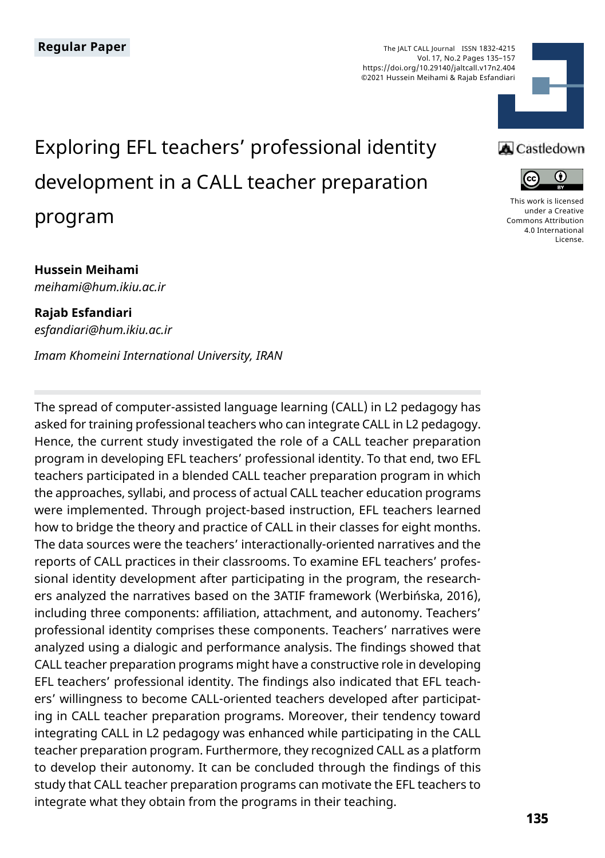The JALT CALL Journal ISSN 1832-4215 Vol. 17, No.2 Pages 135–157 https://doi.org/10.29140/jaltcall.v17n2.404 ©2021 Hussein Meihami & Rajab Esfandiari

# Exploring EFL teachers' professional identity development in a CALL teacher preparation program

#### **Hussein Meihami**

*meihami@hum.ikiu.ac.ir*

#### **Rajab Esfandiari** *esfandiari@hum.ikiu.ac.ir*

*Imam Khomeini International University, IRAN*

The spread of computer-assisted language learning (CALL) in L2 pedagogy has asked for training professional teachers who can integrate CALL in L2 pedagogy. Hence, the current study investigated the role of a CALL teacher preparation program in developing EFL teachers' professional identity. To that end, two EFL teachers participated in a blended CALL teacher preparation program in which the approaches, syllabi, and process of actual CALL teacher education programs were implemented. Through project-based instruction, EFL teachers learned how to bridge the theory and practice of CALL in their classes for eight months. The data sources were the teachers' interactionally-oriented narratives and the reports of CALL practices in their classrooms. To examine EFL teachers' professional identity development after participating in the program, the researchers analyzed the narratives based on the 3ATIF framework (Werbińska, 2016), including three components: affiliation, attachment, and autonomy. Teachers' professional identity comprises these components. Teachers' narratives were analyzed using a dialogic and performance analysis. The findings showed that CALL teacher preparation programs might have a constructive role in developing EFL teachers' professional identity. The findings also indicated that EFL teachers' willingness to become CALL-oriented teachers developed after participating in CALL teacher preparation programs. Moreover, their tendency toward integrating CALL in L2 pedagogy was enhanced while participating in the CALL teacher preparation program. Furthermore, they recognized CALL as a platform to develop their autonomy. It can be concluded through the findings of this study that CALL teacher preparation programs can motivate the EFL teachers to integrate what they obtain from the programs in their teaching.



## **A** Castledown



[This work is licensed](https://creativecommons.org/licenses/by/4.0/)  [under a Creative](https://creativecommons.org/licenses/by/4.0/)  [Commons Attribution](https://creativecommons.org/licenses/by/4.0/)  [4.0 International](https://creativecommons.org/licenses/by/4.0/)  [License](https://creativecommons.org/licenses/by/4.0/).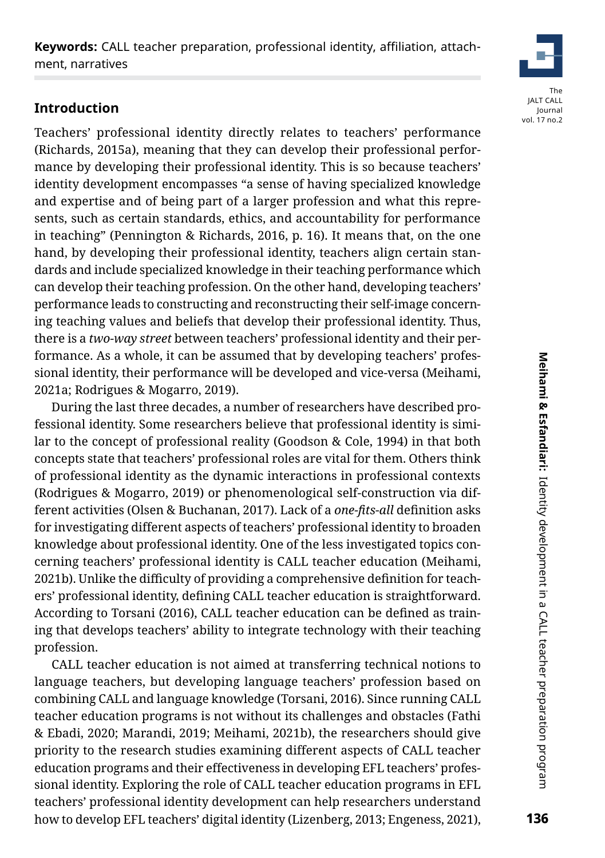**Keywords:** CALL teacher preparation, professional identity, affiliation, attachment, narratives

## **Introduction**

Teachers' professional identity directly relates to teachers' performance (Richards, 2015a), meaning that they can develop their professional performance by developing their professional identity. This is so because teachers' identity development encompasses "a sense of having specialized knowledge and expertise and of being part of a larger profession and what this represents, such as certain standards, ethics, and accountability for performance in teaching" (Pennington & Richards, 2016, p. 16). It means that, on the one hand, by developing their professional identity, teachers align certain standards and include specialized knowledge in their teaching performance which can develop their teaching profession. On the other hand, developing teachers' performance leads to constructing and reconstructing their self-image concerning teaching values and beliefs that develop their professional identity. Thus, there is a *two-way street* between teachers' professional identity and their performance. As a whole, it can be assumed that by developing teachers' professional identity, their performance will be developed and vice-versa (Meihami, 2021a; Rodrigues & Mogarro, 2019).

During the last three decades, a number of researchers have described professional identity. Some researchers believe that professional identity is similar to the concept of professional reality (Goodson & Cole, 1994) in that both concepts state that teachers' professional roles are vital for them. Others think of professional identity as the dynamic interactions in professional contexts (Rodrigues & Mogarro, 2019) or phenomenological self-construction via different activities (Olsen & Buchanan, 2017). Lack of a *one-fits-all* definition asks for investigating different aspects of teachers' professional identity to broaden knowledge about professional identity. One of the less investigated topics concerning teachers' professional identity is CALL teacher education (Meihami, 2021b). Unlike the difficulty of providing a comprehensive definition for teachers' professional identity, defining CALL teacher education is straightforward. According to Torsani (2016), CALL teacher education can be defined as training that develops teachers' ability to integrate technology with their teaching profession.

CALL teacher education is not aimed at transferring technical notions to language teachers, but developing language teachers' profession based on combining CALL and language knowledge (Torsani, 2016). Since running CALL teacher education programs is not without its challenges and obstacles (Fathi & Ebadi, 2020; Marandi, 2019; Meihami, 2021b), the researchers should give priority to the research studies examining different aspects of CALL teacher education programs and their effectiveness in developing EFL teachers' professional identity. Exploring the role of CALL teacher education programs in EFL teachers' professional identity development can help researchers understand how to develop EFL teachers' digital identity (Lizenberg, 2013; Engeness, 2021),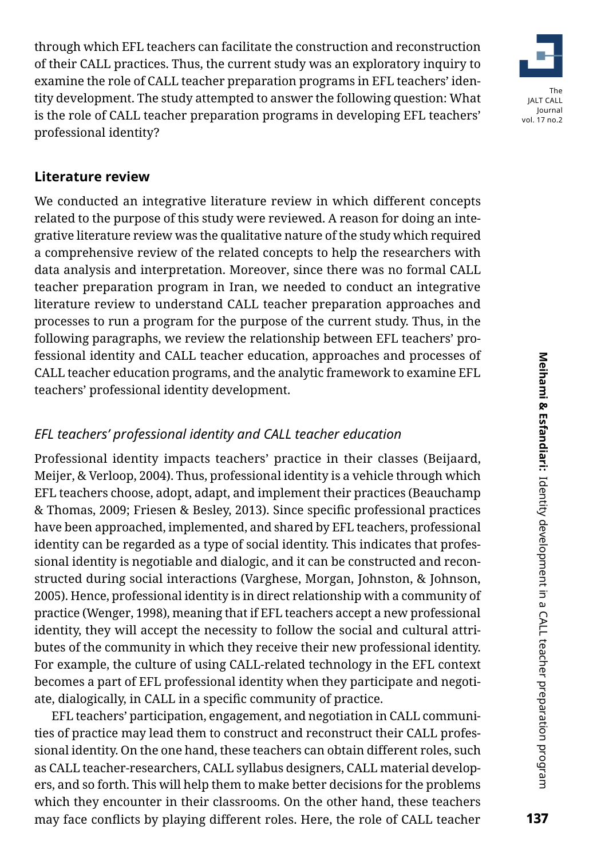through which EFL teachers can facilitate the construction and reconstruction of their CALL practices. Thus, the current study was an exploratory inquiry to examine the role of CALL teacher preparation programs in EFL teachers' identity development. The study attempted to answer the following question: What is the role of CALL teacher preparation programs in developing EFL teachers' professional identity?



#### **Literature review**

We conducted an integrative literature review in which different concepts related to the purpose of this study were reviewed. A reason for doing an integrative literature review was the qualitative nature of the study which required a comprehensive review of the related concepts to help the researchers with data analysis and interpretation. Moreover, since there was no formal CALL teacher preparation program in Iran, we needed to conduct an integrative literature review to understand CALL teacher preparation approaches and processes to run a program for the purpose of the current study. Thus, in the following paragraphs, we review the relationship between EFL teachers' professional identity and CALL teacher education, approaches and processes of CALL teacher education programs, and the analytic framework to examine EFL teachers' professional identity development.

#### *EFL teachers' professional identity and CALL teacher education*

Professional identity impacts teachers' practice in their classes (Beijaard, Meijer, & Verloop, 2004). Thus, professional identity is a vehicle through which EFL teachers choose, adopt, adapt, and implement their practices (Beauchamp & Thomas, 2009; Friesen & Besley, 2013). Since specific professional practices have been approached, implemented, and shared by EFL teachers, professional identity can be regarded as a type of social identity. This indicates that professional identity is negotiable and dialogic, and it can be constructed and reconstructed during social interactions (Varghese, Morgan, Johnston, & Johnson, 2005). Hence, professional identity is in direct relationship with a community of practice (Wenger, 1998), meaning that if EFL teachers accept a new professional identity, they will accept the necessity to follow the social and cultural attributes of the community in which they receive their new professional identity. For example, the culture of using CALL-related technology in the EFL context becomes a part of EFL professional identity when they participate and negotiate, dialogically, in CALL in a specific community of practice.

EFL teachers' participation, engagement, and negotiation in CALL communities of practice may lead them to construct and reconstruct their CALL professional identity. On the one hand, these teachers can obtain different roles, such as CALL teacher-researchers, CALL syllabus designers, CALL material developers, and so forth. This will help them to make better decisions for the problems which they encounter in their classrooms. On the other hand, these teachers may face conflicts by playing different roles. Here, the role of CALL teacher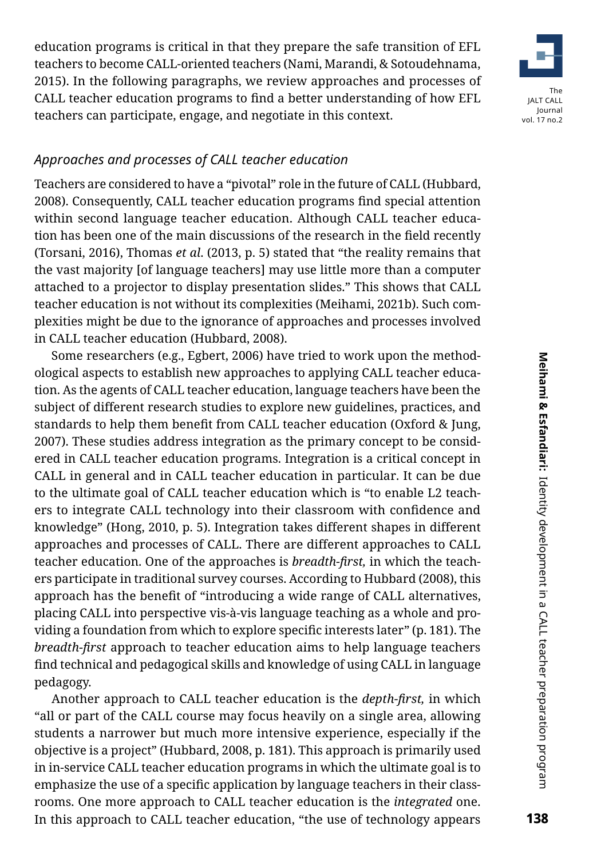education programs is critical in that they prepare the safe transition of EFL teachers to become CALL-oriented teachers (Nami, Marandi, & Sotoudehnama, 2015). In the following paragraphs, we review approaches and processes of CALL teacher education programs to find a better understanding of how EFL teachers can participate, engage, and negotiate in this context.



#### *Approaches and processes of CALL teacher education*

Teachers are considered to have a "pivotal" role in the future of CALL (Hubbard, 2008). Consequently, CALL teacher education programs find special attention within second language teacher education. Although CALL teacher education has been one of the main discussions of the research in the field recently (Torsani, 2016), Thomas *et al*. (2013, p. 5) stated that "the reality remains that the vast majority [of language teachers] may use little more than a computer attached to a projector to display presentation slides." This shows that CALL teacher education is not without its complexities (Meihami, 2021b). Such complexities might be due to the ignorance of approaches and processes involved in CALL teacher education (Hubbard, 2008).

Some researchers (e.g., Egbert, 2006) have tried to work upon the methodological aspects to establish new approaches to applying CALL teacher education. As the agents of CALL teacher education, language teachers have been the subject of different research studies to explore new guidelines, practices, and standards to help them benefit from CALL teacher education (Oxford & Jung, 2007). These studies address integration as the primary concept to be considered in CALL teacher education programs. Integration is a critical concept in CALL in general and in CALL teacher education in particular. It can be due to the ultimate goal of CALL teacher education which is "to enable L2 teachers to integrate CALL technology into their classroom with confidence and knowledge" (Hong, 2010, p. 5). Integration takes different shapes in different approaches and processes of CALL. There are different approaches to CALL teacher education. One of the approaches is *breadth-first,* in which the teachers participate in traditional survey courses. According to Hubbard (2008), this approach has the benefit of "introducing a wide range of CALL alternatives, placing CALL into perspective vis-à-vis language teaching as a whole and providing a foundation from which to explore specific interests later" (p. 181). The *breadth-first* approach to teacher education aims to help language teachers find technical and pedagogical skills and knowledge of using CALL in language pedagogy.

Another approach to CALL teacher education is the *depth-first,* in which "all or part of the CALL course may focus heavily on a single area, allowing students a narrower but much more intensive experience, especially if the objective is a project" (Hubbard, 2008, p. 181). This approach is primarily used in in-service CALL teacher education programs in which the ultimate goal is to emphasize the use of a specific application by language teachers in their classrooms. One more approach to CALL teacher education is the *integrated* one. In this approach to CALL teacher education, "the use of technology appears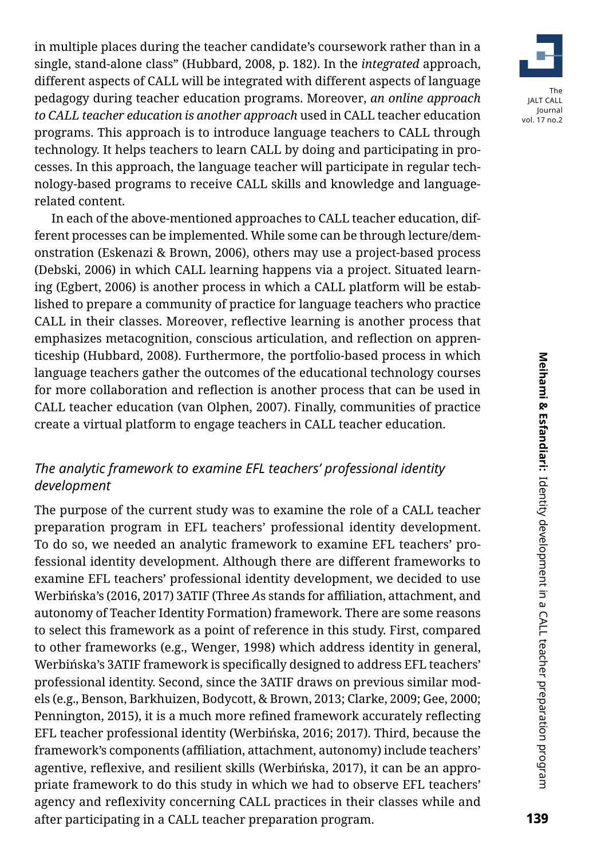in multiple places during the teacher candidate's coursework rather than in a single, stand-alone class" (Hubbard, 2008, p. 182). In the *integrated* approach, different aspects of CALL will be integrated with different aspects of language pedagogy during teacher education programs. Moreover, *an online approach to CALL teacher education is another approach* used in CALL teacher education programs. This approach is to introduce language teachers to CALL through technology. It helps teachers to learn CALL by doing and participating in processes. In this approach, the language teacher will participate in regular technology-based programs to receive CALL skills and knowledge and languagerelated content.

In each of the above-mentioned approaches to CALL teacher education, different processes can be implemented. While some can be through lecture/demonstration (Eskenazi & Brown, 2006), others may use a project-based process (Debski, 2006) in which CALL learning happens via a project. Situated learning (Egbert, 2006) is another process in which a CALL platform will be established to prepare a community of practice for language teachers who practice CALL in their classes. Moreover, reflective learning is another process that emphasizes metacognition, conscious articulation, and reflection on apprenticeship (Hubbard, 2008). Furthermore, the portfolio-based process in which language teachers gather the outcomes of the educational technology courses for more collaboration and reflection is another process that can be used in CALL teacher education (van Olphen, 2007). Finally, communities of practice create a virtual platform to engage teachers in CALL teacher education.

## *The analytic framework to examine EFL teachers' professional identity development*

The purpose of the current study was to examine the role of a CALL teacher preparation program in EFL teachers' professional identity development. To do so, we needed an analytic framework to examine EFL teachers' professional identity development. Although there are different frameworks to examine EFL teachers' professional identity development, we decided to use Werbińska's (2016, 2017) 3ATIF (Three *A*s stands for affiliation, attachment, and autonomy of Teacher Identity Formation) framework. There are some reasons to select this framework as a point of reference in this study. First, compared to other frameworks (e.g., Wenger, 1998) which address identity in general, Werbińska's 3ATIF framework is specifically designed to address EFL teachers' professional identity. Second, since the 3ATIF draws on previous similar models (e.g., Benson, Barkhuizen, Bodycott, & Brown, 2013; Clarke, 2009; Gee, 2000; Pennington, 2015), it is a much more refined framework accurately reflecting EFL teacher professional identity (Werbińska, 2016; 2017). Third, because the framework's components (affiliation, attachment, autonomy) include teachers' agentive, reflexive, and resilient skills (Werbińska, 2017), it can be an appropriate framework to do this study in which we had to observe EFL teachers' agency and reflexivity concerning CALL practices in their classes while and after participating in a CALL teacher preparation program.

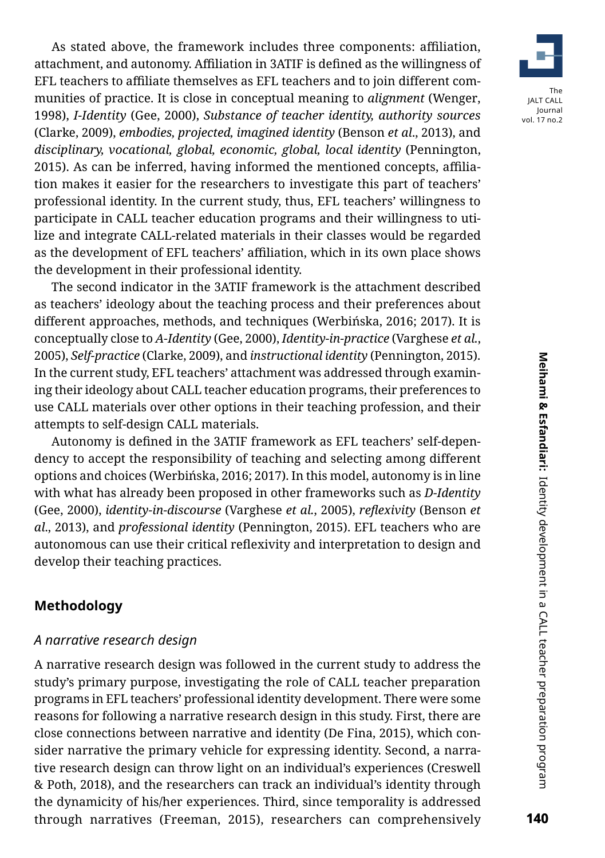As stated above, the framework includes three components: affiliation, attachment, and autonomy. Affiliation in 3ATIF is defined as the willingness of EFL teachers to affiliate themselves as EFL teachers and to join different communities of practice. It is close in conceptual meaning to *alignment* (Wenger, 1998), *I-Identity* (Gee, 2000), *Substance of teacher identity, authority sources* (Clarke, 2009), *embodies, projected, imagined identity* (Benson *et al*., 2013), and *disciplinary, vocational, global, economic, global, local identity* (Pennington, 2015). As can be inferred, having informed the mentioned concepts, affiliation makes it easier for the researchers to investigate this part of teachers' professional identity. In the current study, thus, EFL teachers' willingness to participate in CALL teacher education programs and their willingness to utilize and integrate CALL-related materials in their classes would be regarded as the development of EFL teachers' affiliation, which in its own place shows the development in their professional identity.

The second indicator in the 3ATIF framework is the attachment described as teachers' ideology about the teaching process and their preferences about different approaches, methods, and techniques (Werbińska, 2016; 2017). It is conceptually close to *A-Identity* (Gee, 2000), *Identity-in-practice* (Varghese *et al.*, 2005), *Self-practice* (Clarke, 2009), and *instructional identity* (Pennington, 2015). In the current study, EFL teachers' attachment was addressed through examining their ideology about CALL teacher education programs, their preferences to use CALL materials over other options in their teaching profession, and their attempts to self-design CALL materials.

Autonomy is defined in the 3ATIF framework as EFL teachers' self-dependency to accept the responsibility of teaching and selecting among different options and choices (Werbińska, 2016; 2017). In this model, autonomy is in line with what has already been proposed in other frameworks such as *D-Identity* (Gee, 2000), *identity-in-discourse* (Varghese *et al.*, 2005), *reflexivity* (Benson *et al*., 2013), and *professional identity* (Pennington, 2015). EFL teachers who are autonomous can use their critical reflexivity and interpretation to design and develop their teaching practices.

#### **Methodology**

#### *A narrative research design*

A narrative research design was followed in the current study to address the study's primary purpose, investigating the role of CALL teacher preparation programs in EFL teachers' professional identity development. There were some reasons for following a narrative research design in this study. First, there are close connections between narrative and identity (De Fina, 2015), which consider narrative the primary vehicle for expressing identity. Second, a narrative research design can throw light on an individual's experiences (Creswell & Poth, 2018), and the researchers can track an individual's identity through the dynamicity of his/her experiences. Third, since temporality is addressed through narratives (Freeman, 2015), researchers can comprehensively

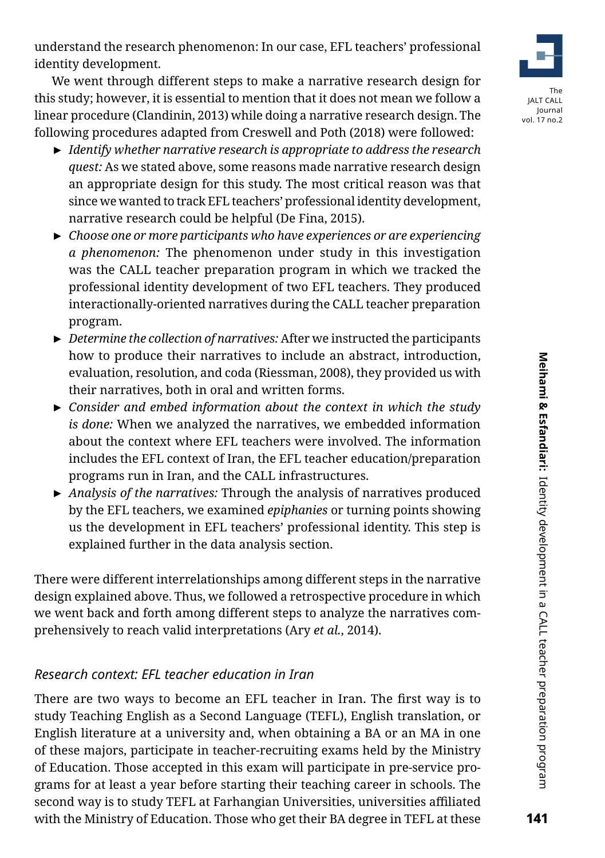We went through different steps to make a narrative research design for this study; however, it is essential to mention that it does not mean we follow a linear procedure (Clandinin, 2013) while doing a narrative research design. The following procedures adapted from Creswell and Poth (2018) were followed:

- ► *Identify whether narrative research is appropriate to address the research quest:* As we stated above, some reasons made narrative research design an appropriate design for this study. The most critical reason was that since we wanted to track EFL teachers' professional identity development, narrative research could be helpful (De Fina, 2015).
- ► *Choose one or more participants who have experiences or are experiencing a phenomenon:* The phenomenon under study in this investigation was the CALL teacher preparation program in which we tracked the professional identity development of two EFL teachers. They produced interactionally-oriented narratives during the CALL teacher preparation program.
- ► *Determine the collection of narratives:* After we instructed the participants how to produce their narratives to include an abstract, introduction, evaluation, resolution, and coda (Riessman, 2008), they provided us with their narratives, both in oral and written forms.
- ► *Consider and embed information about the context in which the study is done:* When we analyzed the narratives, we embedded information about the context where EFL teachers were involved. The information includes the EFL context of Iran, the EFL teacher education/preparation programs run in Iran, and the CALL infrastructures.
- ► *Analysis of the narratives:* Through the analysis of narratives produced by the EFL teachers, we examined *epiphanies* or turning points showing us the development in EFL teachers' professional identity. This step is explained further in the data analysis section.

There were different interrelationships among different steps in the narrative design explained above. Thus, we followed a retrospective procedure in which we went back and forth among different steps to analyze the narratives comprehensively to reach valid interpretations (Ary *et al.*, 2014).

## *Research context: EFL teacher education in Iran*

There are two ways to become an EFL teacher in Iran. The first way is to study Teaching English as a Second Language (TEFL), English translation, or English literature at a university and, when obtaining a BA or an MA in one of these majors, participate in teacher-recruiting exams held by the Ministry of Education. Those accepted in this exam will participate in pre-service programs for at least a year before starting their teaching career in schools. The second way is to study TEFL at Farhangian Universities, universities affiliated with the Ministry of Education. Those who get their BA degree in TEFL at these

## The JALT CALL Journal vol. 17 no.2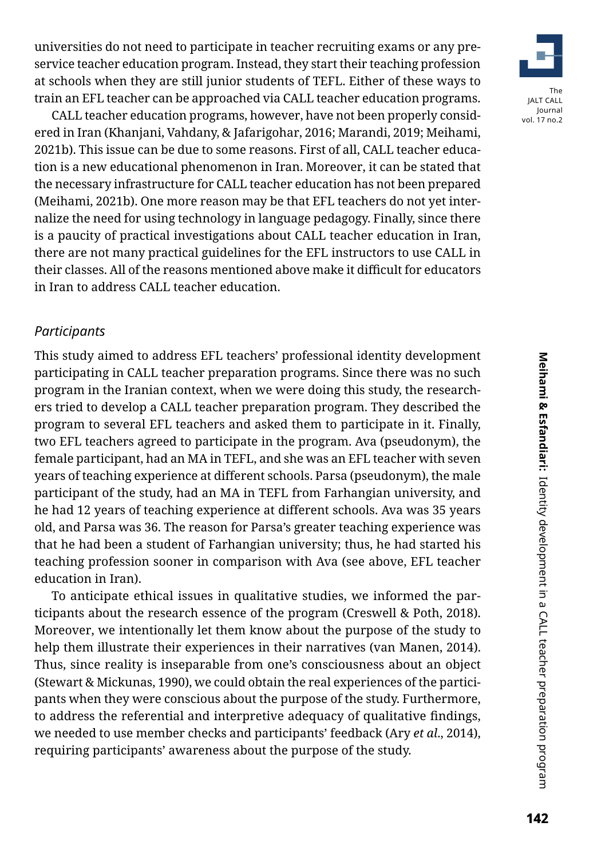universities do not need to participate in teacher recruiting exams or any preservice teacher education program. Instead, they start their teaching profession at schools when they are still junior students of TEFL. Either of these ways to train an EFL teacher can be approached via CALL teacher education programs.

CALL teacher education programs, however, have not been properly considered in Iran (Khanjani, Vahdany, & Jafarigohar, 2016; Marandi, 2019; Meihami, 2021b). This issue can be due to some reasons. First of all, CALL teacher education is a new educational phenomenon in Iran. Moreover, it can be stated that the necessary infrastructure for CALL teacher education has not been prepared (Meihami, 2021b). One more reason may be that EFL teachers do not yet internalize the need for using technology in language pedagogy. Finally, since there is a paucity of practical investigations about CALL teacher education in Iran, there are not many practical guidelines for the EFL instructors to use CALL in their classes. All of the reasons mentioned above make it difficult for educators in Iran to address CALL teacher education.

#### *Participants*

This study aimed to address EFL teachers' professional identity development participating in CALL teacher preparation programs. Since there was no such program in the Iranian context, when we were doing this study, the researchers tried to develop a CALL teacher preparation program. They described the program to several EFL teachers and asked them to participate in it. Finally, two EFL teachers agreed to participate in the program. Ava (pseudonym), the female participant, had an MA in TEFL, and she was an EFL teacher with seven years of teaching experience at different schools. Parsa (pseudonym), the male participant of the study, had an MA in TEFL from Farhangian university, and he had 12 years of teaching experience at different schools. Ava was 35 years old, and Parsa was 36. The reason for Parsa's greater teaching experience was that he had been a student of Farhangian university; thus, he had started his teaching profession sooner in comparison with Ava (see above, EFL teacher education in Iran).

To anticipate ethical issues in qualitative studies, we informed the participants about the research essence of the program (Creswell & Poth, 2018). Moreover, we intentionally let them know about the purpose of the study to help them illustrate their experiences in their narratives (van Manen, 2014). Thus, since reality is inseparable from one's consciousness about an object (Stewart & Mickunas, 1990), we could obtain the real experiences of the participants when they were conscious about the purpose of the study. Furthermore, to address the referential and interpretive adequacy of qualitative findings, we needed to use member checks and participants' feedback (Ary *et al*., 2014), requiring participants' awareness about the purpose of the study.

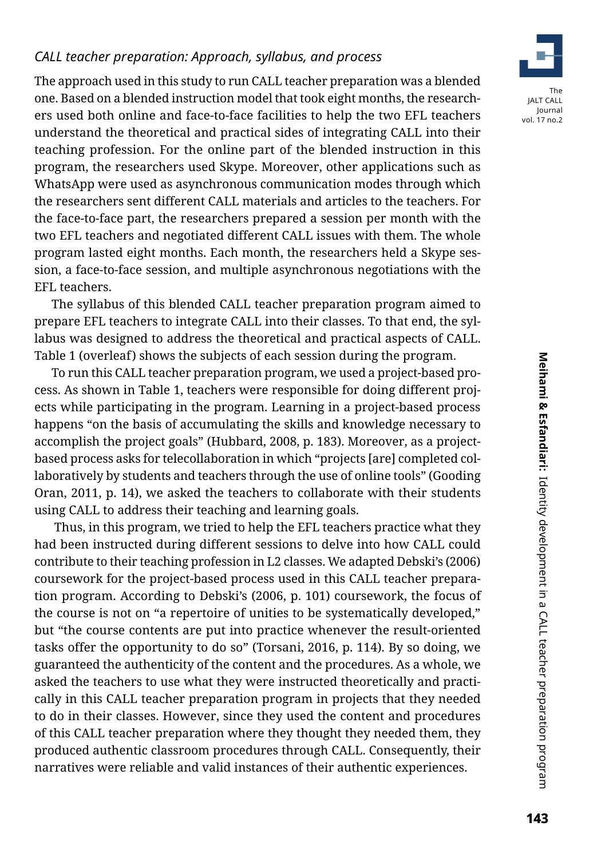## *CALL teacher preparation: Approach, syllabus, and process*

The approach used in this study to run CALL teacher preparation was a blended one. Based on a blended instruction model that took eight months, the researchers used both online and face-to-face facilities to help the two EFL teachers understand the theoretical and practical sides of integrating CALL into their teaching profession. For the online part of the blended instruction in this program, the researchers used Skype. Moreover, other applications such as WhatsApp were used as asynchronous communication modes through which the researchers sent different CALL materials and articles to the teachers. For the face-to-face part, the researchers prepared a session per month with the two EFL teachers and negotiated different CALL issues with them. The whole program lasted eight months. Each month, the researchers held a Skype session, a face-to-face session, and multiple asynchronous negotiations with the EFL teachers.

The syllabus of this blended CALL teacher preparation program aimed to prepare EFL teachers to integrate CALL into their classes. To that end, the syllabus was designed to address the theoretical and practical aspects of CALL. Table 1 (overleaf) shows the subjects of each session during the program.

To run this CALL teacher preparation program, we used a project-based process. As shown in Table 1, teachers were responsible for doing different projects while participating in the program. Learning in a project-based process happens "on the basis of accumulating the skills and knowledge necessary to accomplish the project goals" (Hubbard, 2008, p. 183). Moreover, as a projectbased process asks for telecollaboration in which "projects [are] completed collaboratively by students and teachers through the use of online tools" (Gooding Oran, 2011, p. 14), we asked the teachers to collaborate with their students using CALL to address their teaching and learning goals.

 Thus, in this program, we tried to help the EFL teachers practice what they had been instructed during different sessions to delve into how CALL could contribute to their teaching profession in L2 classes. We adapted Debski's (2006) coursework for the project-based process used in this CALL teacher preparation program. According to Debski's (2006, p. 101) coursework, the focus of the course is not on "a repertoire of unities to be systematically developed," but "the course contents are put into practice whenever the result-oriented tasks offer the opportunity to do so" (Torsani, 2016, p. 114). By so doing, we guaranteed the authenticity of the content and the procedures. As a whole, we asked the teachers to use what they were instructed theoretically and practically in this CALL teacher preparation program in projects that they needed to do in their classes. However, since they used the content and procedures of this CALL teacher preparation where they thought they needed them, they produced authentic classroom procedures through CALL. Consequently, their narratives were reliable and valid instances of their authentic experiences.

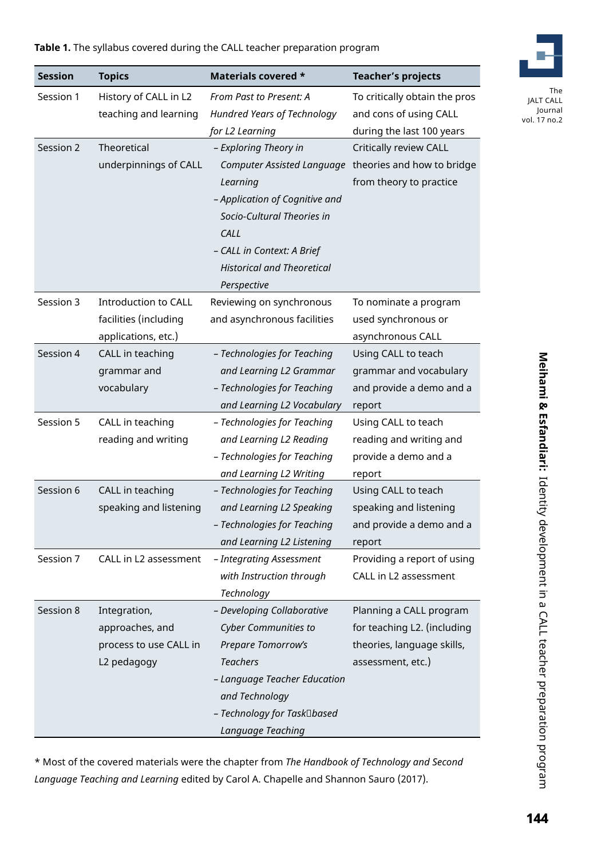#### **Table 1.** The syllabus covered during the CALL teacher preparation program

| <b>Session</b> | <b>Topics</b>                                  | Materials covered *                                    | <b>Teacher's projects</b>                               |
|----------------|------------------------------------------------|--------------------------------------------------------|---------------------------------------------------------|
| Session 1      | History of CALL in L2<br>teaching and learning | From Past to Present: A<br>Hundred Years of Technology | To critically obtain the pros<br>and cons of using CALL |
|                |                                                | for L2 Learning                                        | during the last 100 years                               |
| Session 2      | Theoretical                                    | - Exploring Theory in                                  | Critically review CALL                                  |
|                | underpinnings of CALL                          | Computer Assisted Language theories and how to bridge  |                                                         |
|                |                                                | Learning                                               | from theory to practice                                 |
|                |                                                | - Application of Cognitive and                         |                                                         |
|                |                                                | Socio-Cultural Theories in                             |                                                         |
|                |                                                | <b>CALL</b>                                            |                                                         |
|                |                                                | - CALL in Context: A Brief                             |                                                         |
|                |                                                | <b>Historical and Theoretical</b>                      |                                                         |
|                |                                                | Perspective                                            |                                                         |
| Session 3      | <b>Introduction to CALL</b>                    | Reviewing on synchronous                               | To nominate a program                                   |
|                | facilities (including                          | and asynchronous facilities                            | used synchronous or                                     |
|                | applications, etc.)                            |                                                        | asynchronous CALL                                       |
| Session 4      | CALL in teaching                               | - Technologies for Teaching                            | Using CALL to teach                                     |
|                | grammar and                                    | and Learning L2 Grammar                                | grammar and vocabulary                                  |
|                | vocabulary                                     | - Technologies for Teaching                            | and provide a demo and a                                |
|                |                                                | and Learning L2 Vocabulary                             | report                                                  |
| Session 5      | CALL in teaching                               | - Technologies for Teaching                            | Using CALL to teach                                     |
|                | reading and writing                            | and Learning L2 Reading                                | reading and writing and                                 |
|                |                                                | - Technologies for Teaching                            | provide a demo and a                                    |
|                |                                                | and Learning L2 Writing                                | report                                                  |
| Session 6      | CALL in teaching                               | - Technologies for Teaching                            | Using CALL to teach                                     |
|                | speaking and listening                         | and Learning L2 Speaking                               | speaking and listening                                  |
|                |                                                | - Technologies for Teaching                            | and provide a demo and a                                |
|                |                                                | and Learning L2 Listening                              | report                                                  |
| Session 7      | CALL in L2 assessment                          | - Integrating Assessment                               | Providing a report of using                             |
|                |                                                | with Instruction through                               | CALL in L2 assessment                                   |
|                |                                                | Technology                                             |                                                         |
| Session 8      | Integration,                                   | - Developing Collaborative                             | Planning a CALL program                                 |
|                | approaches, and                                | Cyber Communities to                                   | for teaching L2. (including                             |
|                | process to use CALL in                         | Prepare Tomorrow's                                     | theories, language skills,                              |
|                | L2 pedagogy                                    | <b>Teachers</b>                                        | assessment, etc.)                                       |
|                |                                                | - Language Teacher Education                           |                                                         |
|                |                                                | and Technology                                         |                                                         |
|                |                                                | - Technology for Task <sup>Dbased</sup>                |                                                         |
|                |                                                | Language Teaching                                      |                                                         |

\* Most of the covered materials were the chapter from *The Handbook of Technology and Second Language Teaching and Learning* edited by Carol A. Chapelle and Shannon Sauro (2017).

Meihami & Esfandiari: Identity development in a CALL teacher preparation program **144Meihami & Esfandiari:** Identity development in a CALL teacher preparation program

The JALT CALL Journal vol. 17 no.2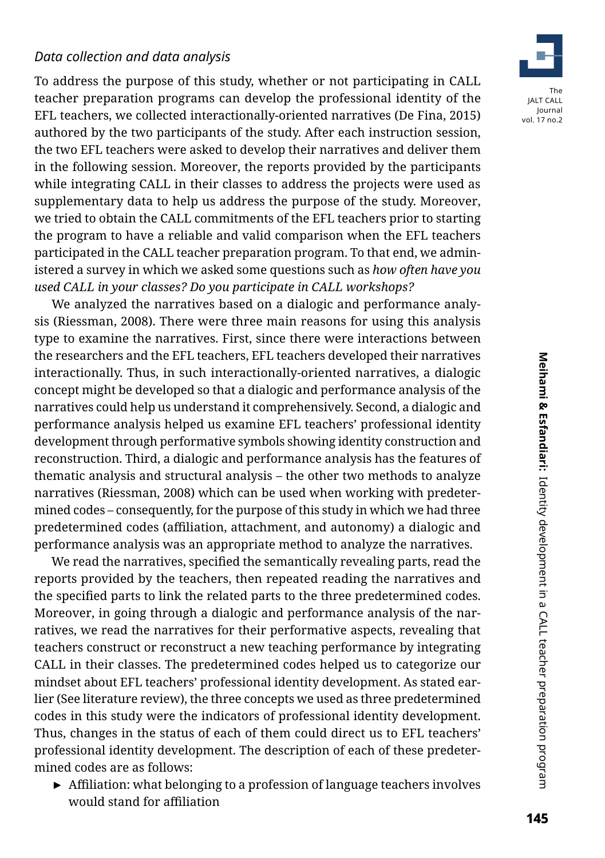#### *Data collection and data analysis*

To address the purpose of this study, whether or not participating in CALL teacher preparation programs can develop the professional identity of the EFL teachers, we collected interactionally-oriented narratives (De Fina, 2015) authored by the two participants of the study. After each instruction session, the two EFL teachers were asked to develop their narratives and deliver them in the following session. Moreover, the reports provided by the participants while integrating CALL in their classes to address the projects were used as supplementary data to help us address the purpose of the study. Moreover, we tried to obtain the CALL commitments of the EFL teachers prior to starting the program to have a reliable and valid comparison when the EFL teachers participated in the CALL teacher preparation program. To that end, we administered a survey in which we asked some questions such as *how often have you used CALL in your classes? Do you participate in CALL workshops?*

We analyzed the narratives based on a dialogic and performance analysis (Riessman, 2008). There were three main reasons for using this analysis type to examine the narratives. First, since there were interactions between the researchers and the EFL teachers, EFL teachers developed their narratives interactionally. Thus, in such interactionally-oriented narratives, a dialogic concept might be developed so that a dialogic and performance analysis of the narratives could help us understand it comprehensively. Second, a dialogic and performance analysis helped us examine EFL teachers' professional identity development through performative symbols showing identity construction and reconstruction. Third, a dialogic and performance analysis has the features of thematic analysis and structural analysis – the other two methods to analyze narratives (Riessman, 2008) which can be used when working with predetermined codes – consequently, for the purpose of this study in which we had three predetermined codes (affiliation, attachment, and autonomy) a dialogic and performance analysis was an appropriate method to analyze the narratives.

We read the narratives, specified the semantically revealing parts, read the reports provided by the teachers, then repeated reading the narratives and the specified parts to link the related parts to the three predetermined codes. Moreover, in going through a dialogic and performance analysis of the narratives, we read the narratives for their performative aspects, revealing that teachers construct or reconstruct a new teaching performance by integrating CALL in their classes. The predetermined codes helped us to categorize our mindset about EFL teachers' professional identity development. As stated earlier (See literature review), the three concepts we used as three predetermined codes in this study were the indicators of professional identity development. Thus, changes in the status of each of them could direct us to EFL teachers' professional identity development. The description of each of these predetermined codes are as follows:

► Affiliation: what belonging to a profession of language teachers involves would stand for affiliation

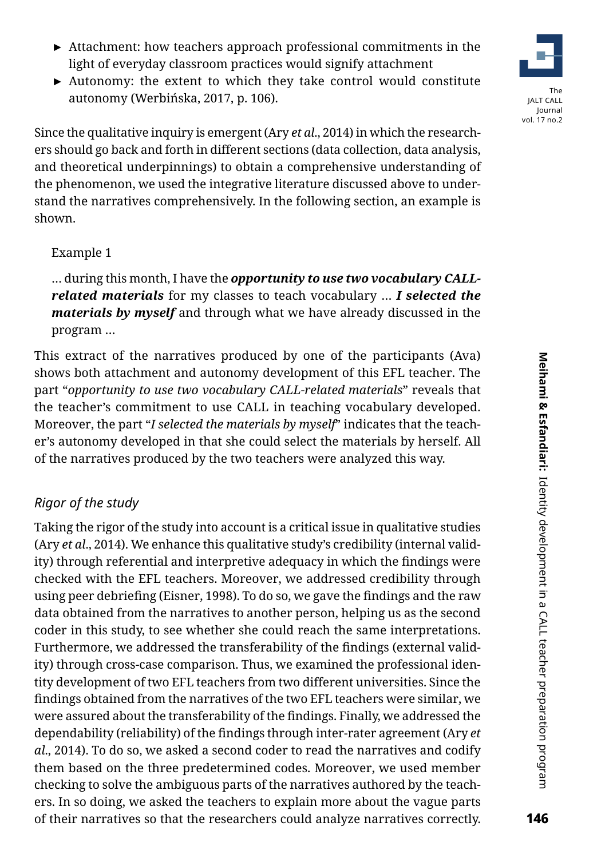- ► Attachment: how teachers approach professional commitments in the light of everyday classroom practices would signify attachment
- ► Autonomy: the extent to which they take control would constitute autonomy (Werbińska, 2017, p. 106).

Since the qualitative inquiry is emergent (Ary *et al*., 2014) in which the researchers should go back and forth in different sections (data collection, data analysis, and theoretical underpinnings) to obtain a comprehensive understanding of the phenomenon, we used the integrative literature discussed above to understand the narratives comprehensively. In the following section, an example is shown.

#### Example 1

… during this month, I have the *opportunity to use two vocabulary CALLrelated materials* for my classes to teach vocabulary … *I selected the materials by myself* and through what we have already discussed in the program …

This extract of the narratives produced by one of the participants (Ava) shows both attachment and autonomy development of this EFL teacher. The part "*opportunity to use two vocabulary CALL-related materials*" reveals that the teacher's commitment to use CALL in teaching vocabulary developed. Moreover, the part "*I selected the materials by myself*" indicates that the teacher's autonomy developed in that she could select the materials by herself. All of the narratives produced by the two teachers were analyzed this way.

#### *Rigor of the study*

Taking the rigor of the study into account is a critical issue in qualitative studies (Ary *et al*., 2014). We enhance this qualitative study's credibility (internal validity) through referential and interpretive adequacy in which the findings were checked with the EFL teachers. Moreover, we addressed credibility through using peer debriefing (Eisner, 1998). To do so, we gave the findings and the raw data obtained from the narratives to another person, helping us as the second coder in this study, to see whether she could reach the same interpretations. Furthermore, we addressed the transferability of the findings (external validity) through cross-case comparison. Thus, we examined the professional identity development of two EFL teachers from two different universities. Since the findings obtained from the narratives of the two EFL teachers were similar, we were assured about the transferability of the findings. Finally, we addressed the dependability (reliability) of the findings through inter-rater agreement (Ary *et al*., 2014). To do so, we asked a second coder to read the narratives and codify them based on the three predetermined codes. Moreover, we used member checking to solve the ambiguous parts of the narratives authored by the teachers. In so doing, we asked the teachers to explain more about the vague parts of their narratives so that the researchers could analyze narratives correctly.

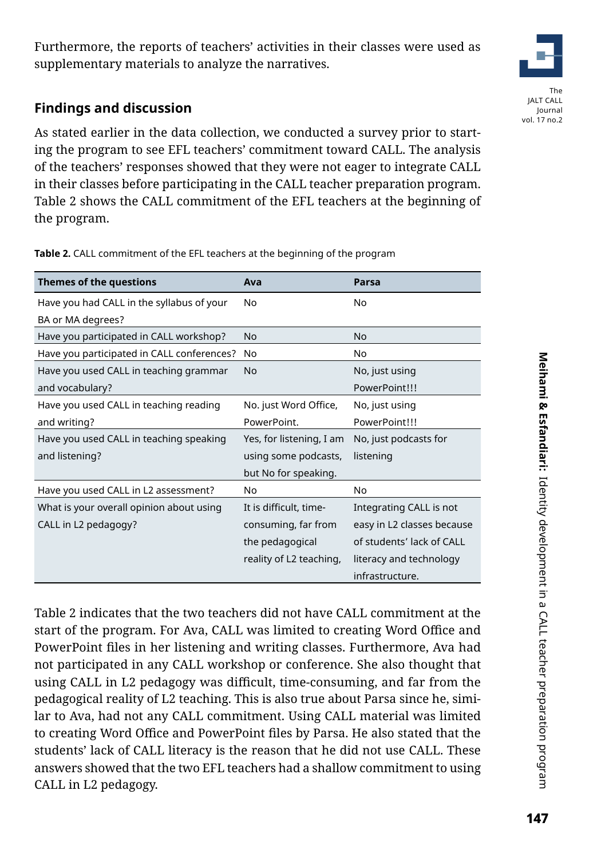Furthermore, the reports of teachers' activities in their classes were used as supplementary materials to analyze the narratives.

## **Findings and discussion**

As stated earlier in the data collection, we conducted a survey prior to starting the program to see EFL teachers' commitment toward CALL. The analysis of the teachers' responses showed that they were not eager to integrate CALL in their classes before participating in the CALL teacher preparation program. Table 2 shows the CALL commitment of the EFL teachers at the beginning of the program.

| <b>Themes of the questions</b>             | Ava                      | Parsa                      |
|--------------------------------------------|--------------------------|----------------------------|
| Have you had CALL in the syllabus of your  | No                       | No                         |
| BA or MA degrees?                          |                          |                            |
| Have you participated in CALL workshop?    | <b>No</b>                | N <sub>o</sub>             |
| Have you participated in CALL conferences? | No                       | No                         |
| Have you used CALL in teaching grammar     | <b>No</b>                | No, just using             |
| and vocabulary?                            |                          | PowerPoint!!!              |
| Have you used CALL in teaching reading     | No. just Word Office,    | No, just using             |
| and writing?                               | PowerPoint.              | PowerPoint!!!              |
| Have you used CALL in teaching speaking    | Yes, for listening, I am | No, just podcasts for      |
| and listening?                             | using some podcasts,     | listening                  |
|                                            | but No for speaking.     |                            |
| Have you used CALL in L2 assessment?       | No                       | No                         |
| What is your overall opinion about using   | It is difficult, time-   | Integrating CALL is not    |
| CALL in L2 pedagogy?                       | consuming, far from      | easy in L2 classes because |
|                                            | the pedagogical          | of students' lack of CALL  |
|                                            | reality of L2 teaching,  | literacy and technology    |
|                                            |                          | infrastructure.            |

**Table 2.** CALL commitment of the EFL teachers at the beginning of the program

Table 2 indicates that the two teachers did not have CALL commitment at the start of the program. For Ava, CALL was limited to creating Word Office and PowerPoint files in her listening and writing classes. Furthermore, Ava had not participated in any CALL workshop or conference. She also thought that using CALL in L2 pedagogy was difficult, time-consuming, and far from the pedagogical reality of L2 teaching. This is also true about Parsa since he, similar to Ava, had not any CALL commitment. Using CALL material was limited to creating Word Office and PowerPoint files by Parsa. He also stated that the students' lack of CALL literacy is the reason that he did not use CALL. These answers showed that the two EFL teachers had a shallow commitment to using CALL in L2 pedagogy.

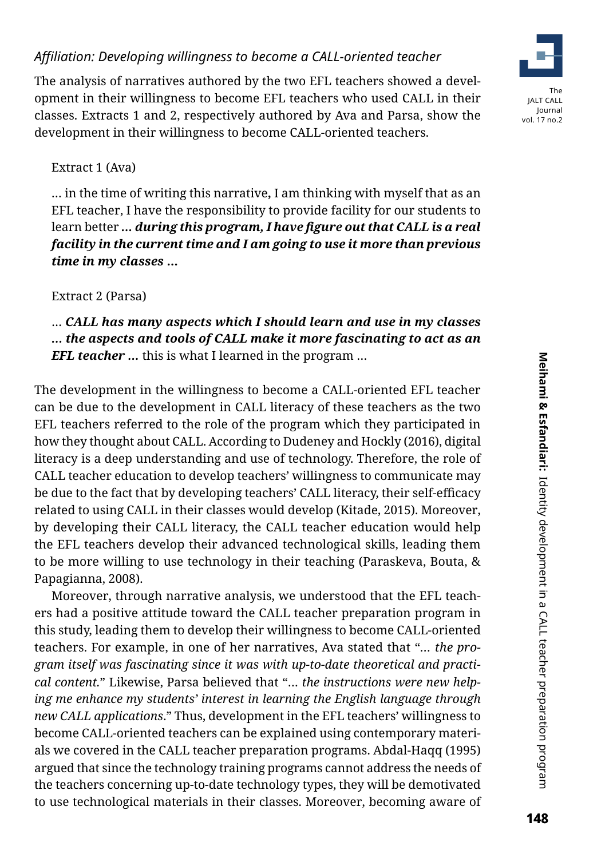## *Affiliation: Developing willingness to become a CALL-oriented teacher*

The analysis of narratives authored by the two EFL teachers showed a development in their willingness to become EFL teachers who used CALL in their classes. Extracts 1 and 2, respectively authored by Ava and Parsa, show the development in their willingness to become CALL-oriented teachers.

#### Extract 1 (Ava)

… in the time of writing this narrative**,** I am thinking with myself that as an EFL teacher, I have the responsibility to provide facility for our students to learn better *… during this program, I have figure out that CALL is a real facility in the current time and I am going to use it more than previous time in my classes* **…** 

#### Extract 2 (Parsa)

### … *CALL has many aspects which I should learn and use in my classes … the aspects and tools of CALL make it more fascinating to act as an EFL teacher ...* this is what I learned in the program ...

The development in the willingness to become a CALL-oriented EFL teacher can be due to the development in CALL literacy of these teachers as the two EFL teachers referred to the role of the program which they participated in how they thought about CALL. According to Dudeney and Hockly (2016), digital literacy is a deep understanding and use of technology. Therefore, the role of CALL teacher education to develop teachers' willingness to communicate may be due to the fact that by developing teachers' CALL literacy, their self-efficacy related to using CALL in their classes would develop (Kitade, 2015). Moreover, by developing their CALL literacy, the CALL teacher education would help the EFL teachers develop their advanced technological skills, leading them to be more willing to use technology in their teaching (Paraskeva, Bouta, & Papagianna, 2008).

Moreover, through narrative analysis, we understood that the EFL teachers had a positive attitude toward the CALL teacher preparation program in this study, leading them to develop their willingness to become CALL-oriented teachers. For example, in one of her narratives, Ava stated that "*… the program itself was fascinating since it was with up-to-date theoretical and practical content.*" Likewise, Parsa believed that "… *the instructions were new helping me enhance my students' interest in learning the English language through new CALL applications*." Thus, development in the EFL teachers' willingness to become CALL-oriented teachers can be explained using contemporary materials we covered in the CALL teacher preparation programs. Abdal-Haqq (1995) argued that since the technology training programs cannot address the needs of the teachers concerning up-to-date technology types, they will be demotivated to use technological materials in their classes. Moreover, becoming aware of

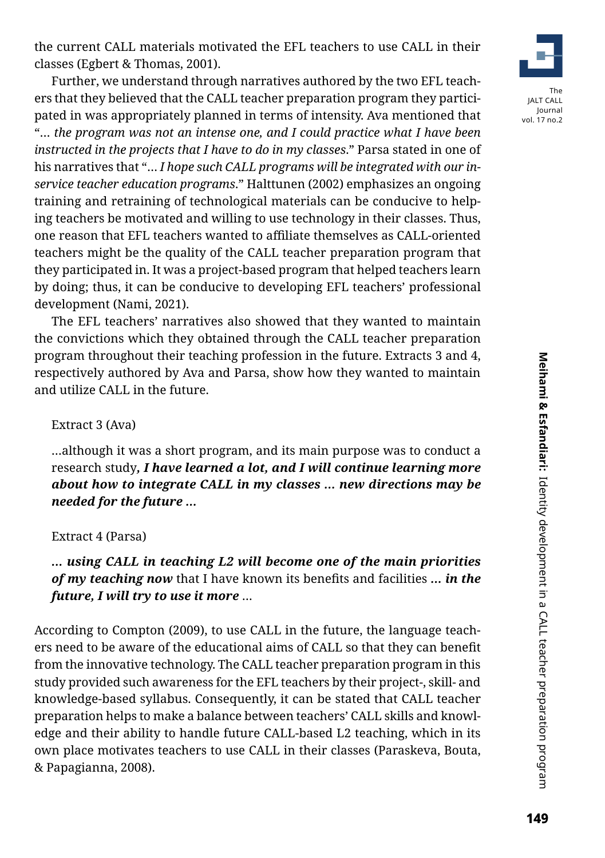the current CALL materials motivated the EFL teachers to use CALL in their classes (Egbert & Thomas, 2001).

Further, we understand through narratives authored by the two EFL teachers that they believed that the CALL teacher preparation program they participated in was appropriately planned in terms of intensity. Ava mentioned that "… *the program was not an intense one, and I could practice what I have been instructed in the projects that I have to do in my classes*." Parsa stated in one of his narratives that "… *I hope such CALL programs will be integrated with our inservice teacher education programs*." Halttunen (2002) emphasizes an ongoing training and retraining of technological materials can be conducive to helping teachers be motivated and willing to use technology in their classes. Thus, one reason that EFL teachers wanted to affiliate themselves as CALL-oriented teachers might be the quality of the CALL teacher preparation program that they participated in. It was a project-based program that helped teachers learn by doing; thus, it can be conducive to developing EFL teachers' professional development (Nami, 2021).

The EFL teachers' narratives also showed that they wanted to maintain the convictions which they obtained through the CALL teacher preparation program throughout their teaching profession in the future. Extracts 3 and 4, respectively authored by Ava and Parsa, show how they wanted to maintain and utilize CALL in the future.

#### Extract 3 (Ava)

…although it was a short program, and its main purpose was to conduct a research study*, I have learned a lot, and I will continue learning more about how to integrate CALL in my classes … new directions may be needed for the future …*

#### Extract 4 (Parsa)

*… using CALL in teaching L2 will become one of the main priorities of my teaching now* that I have known its benefits and facilities *… in the future, I will try to use it more* …

According to Compton (2009), to use CALL in the future, the language teachers need to be aware of the educational aims of CALL so that they can benefit from the innovative technology. The CALL teacher preparation program in this study provided such awareness for the EFL teachers by their project-, skill- and knowledge-based syllabus. Consequently, it can be stated that CALL teacher preparation helps to make a balance between teachers' CALL skills and knowledge and their ability to handle future CALL-based L2 teaching, which in its own place motivates teachers to use CALL in their classes (Paraskeva, Bouta, & Papagianna, 2008).

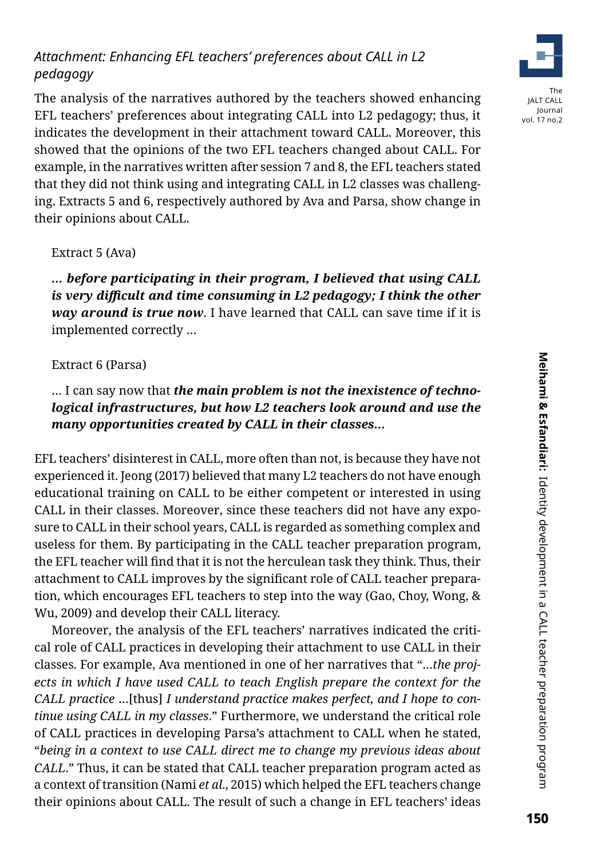## *Attachment: Enhancing EFL teachers' preferences about CALL in L2 pedagogy*

The analysis of the narratives authored by the teachers showed enhancing EFL teachers' preferences about integrating CALL into L2 pedagogy; thus, it indicates the development in their attachment toward CALL. Moreover, this showed that the opinions of the two EFL teachers changed about CALL. For example, in the narratives written after session 7 and 8, the EFL teachers stated that they did not think using and integrating CALL in L2 classes was challenging. Extracts 5 and 6, respectively authored by Ava and Parsa, show change in their opinions about CALL.

Extract 5 (Ava)

*… before participating in their program, I believed that using CALL is very difficult and time consuming in L2 pedagogy; I think the other way around is true now*. I have learned that CALL can save time if it is implemented correctly …

### Extract 6 (Parsa)

… I can say now that *the main problem is not the inexistence of technological infrastructures, but how L2 teachers look around and use the many opportunities created by CALL in their classes…*

EFL teachers' disinterest in CALL, more often than not, is because they have not experienced it. Jeong (2017) believed that many L2 teachers do not have enough educational training on CALL to be either competent or interested in using CALL in their classes. Moreover, since these teachers did not have any exposure to CALL in their school years, CALL is regarded as something complex and useless for them. By participating in the CALL teacher preparation program, the EFL teacher will find that it is not the herculean task they think. Thus, their attachment to CALL improves by the significant role of CALL teacher preparation, which encourages EFL teachers to step into the way (Gao, Choy, Wong, & Wu, 2009) and develop their CALL literacy.

Moreover, the analysis of the EFL teachers' narratives indicated the critical role of CALL practices in developing their attachment to use CALL in their classes. For example, Ava mentioned in one of her narratives that "…*the projects in which I have used CALL to teach English prepare the context for the CALL practice* …[thus] *I understand practice makes perfect, and I hope to continue using CALL in my classes*." Furthermore, we understand the critical role of CALL practices in developing Parsa's attachment to CALL when he stated, "*being in a context to use CALL direct me to change my previous ideas about CALL*." Thus, it can be stated that CALL teacher preparation program acted as a context of transition (Nami *et al*., 2015) which helped the EFL teachers change their opinions about CALL. The result of such a change in EFL teachers' ideas

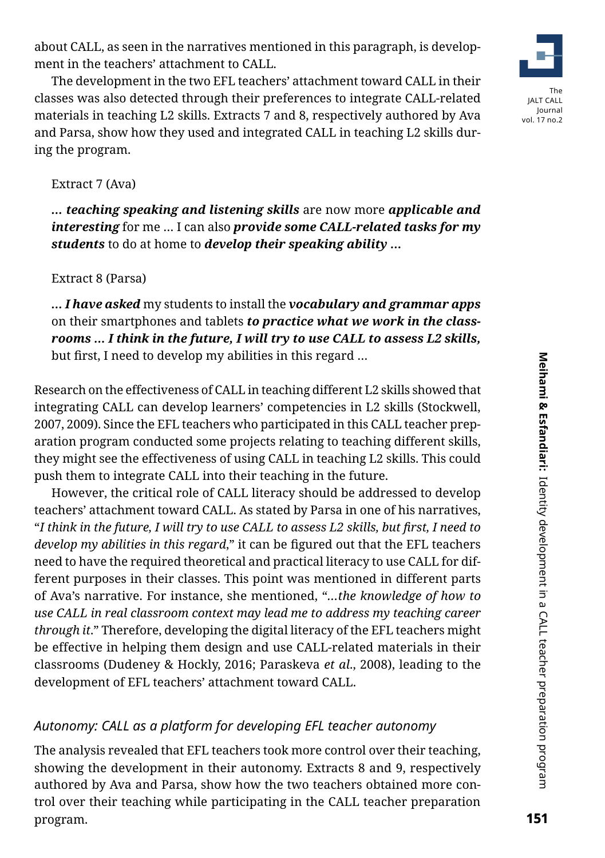about CALL, as seen in the narratives mentioned in this paragraph, is development in the teachers' attachment to CALL.

The development in the two EFL teachers' attachment toward CALL in their classes was also detected through their preferences to integrate CALL-related materials in teaching L2 skills. Extracts 7 and 8, respectively authored by Ava and Parsa, show how they used and integrated CALL in teaching L2 skills during the program.

#### Extract 7 (Ava)

*… teaching speaking and listening skills* are now more *applicable and interesting* for me … I can also *provide some CALL-related tasks for my students* to do at home to *develop their speaking ability …* 

### Extract 8 (Parsa)

*… I have asked* my students to install the *vocabulary and grammar apps*  on their smartphones and tablets *to practice what we work in the classrooms … I think in the future, I will try to use CALL to assess L2 skills,* but first, I need to develop my abilities in this regard …

Research on the effectiveness of CALL in teaching different L2 skills showed that integrating CALL can develop learners' competencies in L2 skills (Stockwell, 2007, 2009). Since the EFL teachers who participated in this CALL teacher preparation program conducted some projects relating to teaching different skills, they might see the effectiveness of using CALL in teaching L2 skills. This could push them to integrate CALL into their teaching in the future.

However, the critical role of CALL literacy should be addressed to develop teachers' attachment toward CALL. As stated by Parsa in one of his narratives, "*I think in the future, I will try to use CALL to assess L2 skills, but first, I need to develop my abilities in this regard*," it can be figured out that the EFL teachers need to have the required theoretical and practical literacy to use CALL for different purposes in their classes. This point was mentioned in different parts of Ava's narrative. For instance, she mentioned, "*…the knowledge of how to use CALL in real classroom context may lead me to address my teaching career through it*." Therefore, developing the digital literacy of the EFL teachers might be effective in helping them design and use CALL-related materials in their classrooms (Dudeney & Hockly, 2016; Paraskeva *et al*., 2008), leading to the development of EFL teachers' attachment toward CALL.

## *Autonomy: CALL as a platform for developing EFL teacher autonomy*

The analysis revealed that EFL teachers took more control over their teaching, showing the development in their autonomy. Extracts 8 and 9, respectively authored by Ava and Parsa, show how the two teachers obtained more control over their teaching while participating in the CALL teacher preparation program.

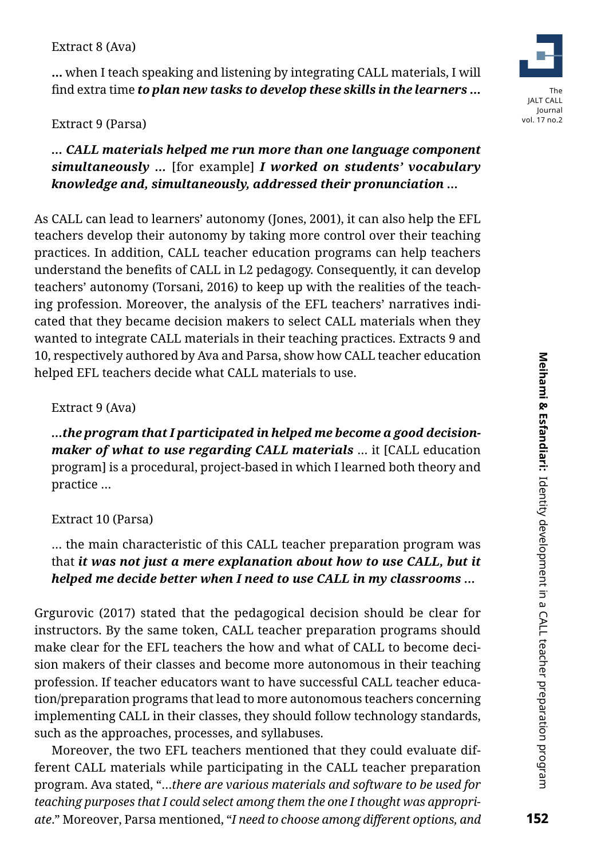#### Extract 8 (Ava)

**…** when I teach speaking and listening by integrating CALL materials, I will find extra time *to plan new tasks to develop these skills in the learners* **…**

### Extract 9 (Parsa)

## *… CALL materials helped me run more than one language component simultaneously …* [for example] *I worked on students' vocabulary knowledge and, simultaneously, addressed their pronunciation …*

As CALL can lead to learners' autonomy (Jones, 2001), it can also help the EFL teachers develop their autonomy by taking more control over their teaching practices. In addition, CALL teacher education programs can help teachers understand the benefits of CALL in L2 pedagogy. Consequently, it can develop teachers' autonomy (Torsani, 2016) to keep up with the realities of the teaching profession. Moreover, the analysis of the EFL teachers' narratives indicated that they became decision makers to select CALL materials when they wanted to integrate CALL materials in their teaching practices. Extracts 9 and 10, respectively authored by Ava and Parsa, show how CALL teacher education helped EFL teachers decide what CALL materials to use.

### Extract 9 (Ava)

*…the program that I participated in helped me become a good decisionmaker of what to use regarding CALL materials* … it [CALL education program] is a procedural, project-based in which I learned both theory and practice …

## Extract 10 (Parsa)

… the main characteristic of this CALL teacher preparation program was that *it was not just a mere explanation about how to use CALL, but it helped me decide better when I need to use CALL in my classrooms …* 

Grgurovic (2017) stated that the pedagogical decision should be clear for instructors. By the same token, CALL teacher preparation programs should make clear for the EFL teachers the how and what of CALL to become decision makers of their classes and become more autonomous in their teaching profession. If teacher educators want to have successful CALL teacher education/preparation programs that lead to more autonomous teachers concerning implementing CALL in their classes, they should follow technology standards, such as the approaches, processes, and syllabuses.

Moreover, the two EFL teachers mentioned that they could evaluate different CALL materials while participating in the CALL teacher preparation program. Ava stated, "…*there are various materials and software to be used for teaching purposes that I could select among them the one I thought was appropriate*." Moreover, Parsa mentioned, "*I need to choose among different options, and* 

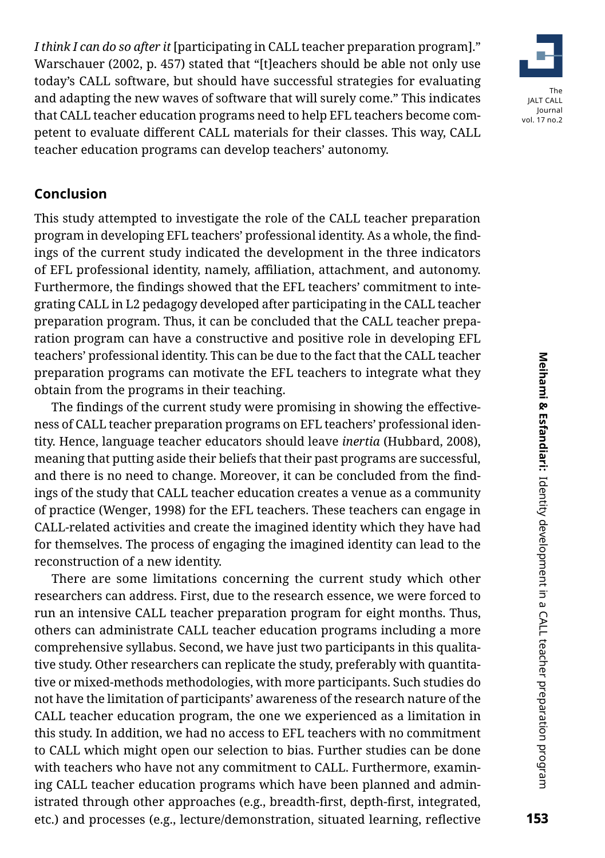*I think I can do so after it* [participating in CALL teacher preparation program]." Warschauer (2002, p. 457) stated that "[t]eachers should be able not only use today's CALL software, but should have successful strategies for evaluating and adapting the new waves of software that will surely come." This indicates that CALL teacher education programs need to help EFL teachers become competent to evaluate different CALL materials for their classes. This way, CALL teacher education programs can develop teachers' autonomy.

# The JALT CALL Journal vol. 17 no.2

#### **Conclusion**

This study attempted to investigate the role of the CALL teacher preparation program in developing EFL teachers' professional identity. As a whole, the findings of the current study indicated the development in the three indicators of EFL professional identity, namely, affiliation, attachment, and autonomy. Furthermore, the findings showed that the EFL teachers' commitment to integrating CALL in L2 pedagogy developed after participating in the CALL teacher preparation program. Thus, it can be concluded that the CALL teacher preparation program can have a constructive and positive role in developing EFL teachers' professional identity. This can be due to the fact that the CALL teacher preparation programs can motivate the EFL teachers to integrate what they obtain from the programs in their teaching.

The findings of the current study were promising in showing the effectiveness of CALL teacher preparation programs on EFL teachers' professional identity. Hence, language teacher educators should leave *inertia* (Hubbard, 2008), meaning that putting aside their beliefs that their past programs are successful, and there is no need to change. Moreover, it can be concluded from the findings of the study that CALL teacher education creates a venue as a community of practice (Wenger, 1998) for the EFL teachers. These teachers can engage in CALL-related activities and create the imagined identity which they have had for themselves. The process of engaging the imagined identity can lead to the reconstruction of a new identity.

There are some limitations concerning the current study which other researchers can address. First, due to the research essence, we were forced to run an intensive CALL teacher preparation program for eight months. Thus, others can administrate CALL teacher education programs including a more comprehensive syllabus. Second, we have just two participants in this qualitative study. Other researchers can replicate the study, preferably with quantitative or mixed-methods methodologies, with more participants. Such studies do not have the limitation of participants' awareness of the research nature of the CALL teacher education program, the one we experienced as a limitation in this study. In addition, we had no access to EFL teachers with no commitment to CALL which might open our selection to bias. Further studies can be done with teachers who have not any commitment to CALL. Furthermore, examining CALL teacher education programs which have been planned and administrated through other approaches (e.g., breadth-first, depth-first, integrated, etc.) and processes (e.g., lecture/demonstration, situated learning, reflective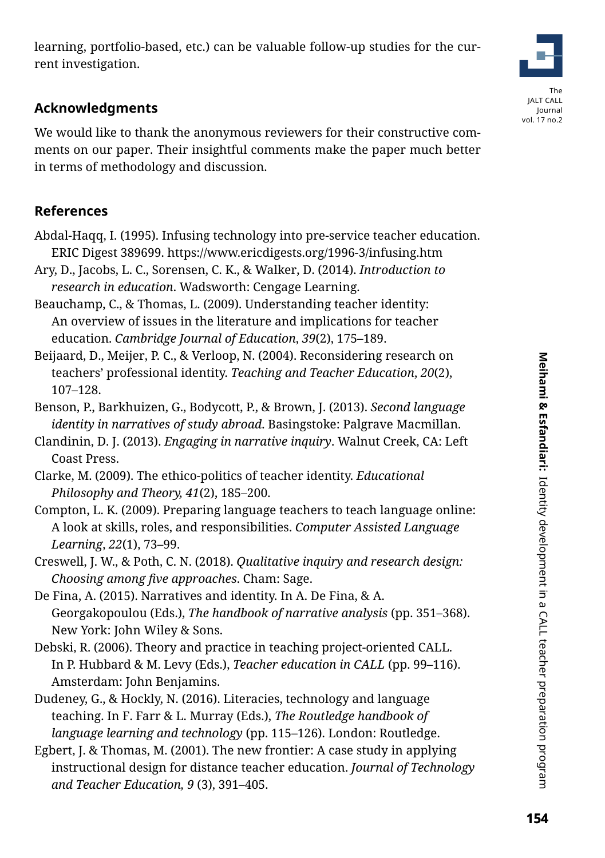learning, portfolio-based, etc.) can be valuable follow-up studies for the current investigation.

## **Acknowledgments**

We would like to thank the anonymous reviewers for their constructive comments on our paper. Their insightful comments make the paper much better in terms of methodology and discussion.

## **References**

- Abdal-Haqq, I. (1995). Infusing technology into pre-service teacher education. ERIC Digest 389699. https://www.ericdigests.org/1996-3/infusing.htm
- Ary, D., Jacobs, L. C., Sorensen, C. K., & Walker, D. (2014). *Introduction to research in education*. Wadsworth: Cengage Learning.
- Beauchamp, C., & Thomas, L. (2009). Understanding teacher identity: An overview of issues in the literature and implications for teacher education. *Cambridge Journal of Education*, *39*(2), 175–189.
- Beijaard, D., Meijer, P. C., & Verloop, N. (2004). Reconsidering research on teachers' professional identity. *Teaching and Teacher Education*, *20*(2), 107–128.
- Benson, P., Barkhuizen, G., Bodycott, P., & Brown, J. (2013). *Second language identity in narratives of study abroad*. Basingstoke: Palgrave Macmillan.
- Clandinin, D. J. (2013). *Engaging in narrative inquiry*. Walnut Creek, CA: Left Coast Press.
- Clarke, M. (2009). The ethico-politics of teacher identity. *Educational Philosophy and Theory, 41*(2), 185–200.
- Compton, L. K. (2009). Preparing language teachers to teach language online: A look at skills, roles, and responsibilities. *Computer Assisted Language Learning*, *22*(1), 73–99.
- Creswell, J. W., & Poth, C. N. (2018). *Qualitative inquiry and research design: Choosing among five approaches*. Cham: Sage.
- De Fina, A. (2015). Narratives and identity. In A. De Fina, & A. Georgakopoulou (Eds.), *The handbook of narrative analysis* (pp. 351–368). New York: John Wiley & Sons.
- Debski, R. (2006). Theory and practice in teaching project-oriented CALL. In P. Hubbard & M. Levy (Eds.), *Teacher education in CALL* (pp. 99–116). Amsterdam: John Benjamins.
- Dudeney, G., & Hockly, N. (2016). Literacies, technology and language teaching. In F. Farr & L. Murray (Eds.), *The Routledge handbook of language learning and technology* (pp. 115–126). London: Routledge.
- Egbert, J. & Thomas, M. (2001). The new frontier: A case study in applying instructional design for distance teacher education. *Journal of Technology and Teacher Education, 9* (3), 391–405.

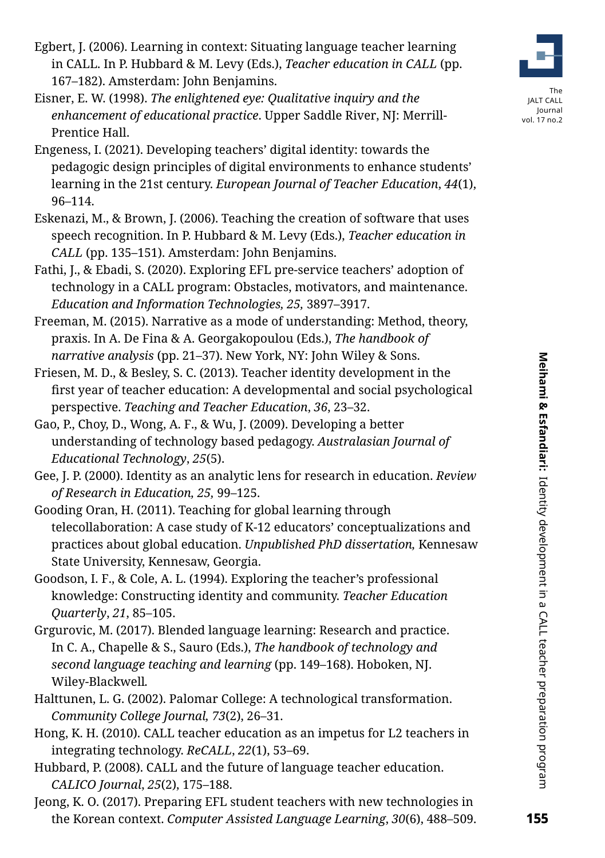- Egbert, J. (2006). Learning in context: Situating language teacher learning in CALL. In P. Hubbard & M. Levy (Eds.), *Teacher education in CALL* (pp. 167–182). Amsterdam: John Benjamins.
- Eisner, E. W. (1998). *The enlightened eye: Qualitative inquiry and the enhancement of educational practice*. Upper Saddle River, NJ: Merrill-Prentice Hall.
- Engeness, I. (2021). Developing teachers' digital identity: towards the pedagogic design principles of digital environments to enhance students' learning in the 21st century. *European Journal of Teacher Education*, *44*(1), 96–114.
- Eskenazi, M., & Brown, J. (2006). Teaching the creation of software that uses speech recognition. In P. Hubbard & M. Levy (Eds.), *Teacher education in CALL* (pp. 135–151). Amsterdam: John Benjamins.
- Fathi, J., & Ebadi, S. (2020). Exploring EFL pre-service teachers' adoption of technology in a CALL program: Obstacles, motivators, and maintenance. *Education and Information Technologies, 25,* 3897–3917.
- Freeman, M. (2015). Narrative as a mode of understanding: Method, theory, praxis. In A. De Fina & A. Georgakopoulou (Eds.), *The handbook of narrative analysis* (pp. 21–37). New York, NY: John Wiley & Sons.
- Friesen, M. D., & Besley, S. C. (2013). Teacher identity development in the first year of teacher education: A developmental and social psychological perspective. *Teaching and Teacher Education*, *36*, 23–32.
- Gao, P., Choy, D., Wong, A. F., & Wu, J. (2009). Developing a better understanding of technology based pedagogy. *Australasian Journal of Educational Technology*, *25*(5).
- Gee, J. P. (2000). Identity as an analytic lens for research in education. *Review of Research in Education, 25,* 99–125.
- Gooding Oran, H. (2011). Teaching for global learning through telecollaboration: A case study of K-12 educators' conceptualizations and practices about global education. *Unpublished PhD dissertation,* Kennesaw State University, Kennesaw, Georgia.
- Goodson, I. F., & Cole, A. L. (1994). Exploring the teacher's professional knowledge: Constructing identity and community. *Teacher Education Quarterly*, *21*, 85–105.
- Grgurovic, M. (2017). Blended language learning: Research and practice. In C. A., Chapelle & S., Sauro (Eds.), *The handbook of technology and second language teaching and learning* (pp. 149–168). Hoboken, NJ. Wiley-Blackwell*.*
- Halttunen, L. G. (2002). Palomar College: A technological transformation. *Community College Journal, 73*(2), 26–31.
- Hong, K. H. (2010). CALL teacher education as an impetus for L2 teachers in integrating technology. *ReCALL*, *22*(1), 53–69.
- Hubbard, P. (2008). CALL and the future of language teacher education. *CALICO Journal*, *25*(2), 175–188.
- Jeong, K. O. (2017). Preparing EFL student teachers with new technologies in the Korean context. *Computer Assisted Language Learning*, *30*(6), 488–509.



Journal vol. 17 no.2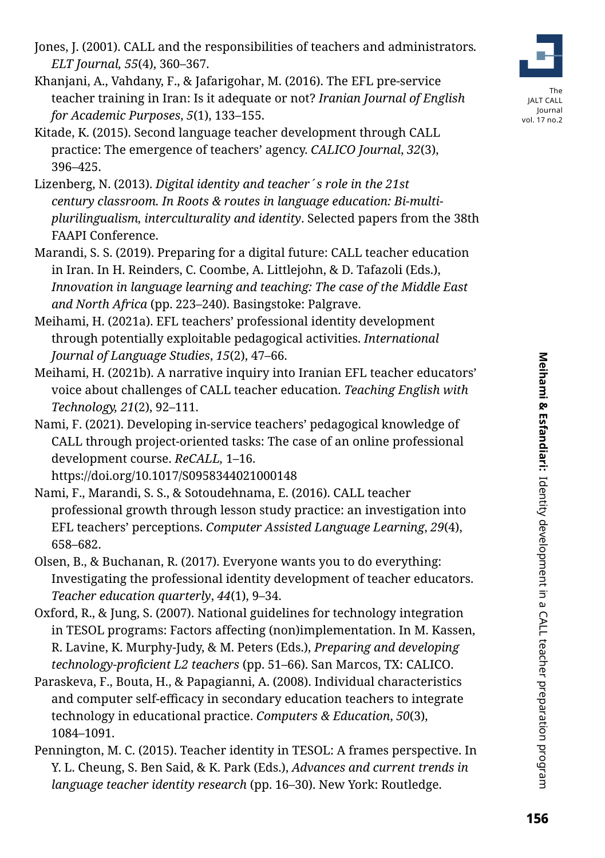- Jones, J. (2001). CALL and the responsibilities of teachers and administrators*. ELT Journal, 55*(4), 360–367.
- Khanjani, A., Vahdany, F., & Jafarigohar, M. (2016). The EFL pre-service teacher training in Iran: Is it adequate or not? *Iranian Journal of English for Academic Purposes*, *5*(1), 133–155.
- Kitade, K. (2015). Second language teacher development through CALL practice: The emergence of teachers' agency. *CALICO Journal*, *32*(3), 396–425.
- Lizenberg, N. (2013). *Digital identity and teacher´s role in the 21st century classroom. In Roots & routes in language education: Bi-multiplurilingualism, interculturality and identity*. Selected papers from the 38th FAAPI Conference.
- Marandi, S. S. (2019). Preparing for a digital future: CALL teacher education in Iran. In H. Reinders, C. Coombe, A. Littlejohn, & D. Tafazoli (Eds.), *Innovation in language learning and teaching: The case of the Middle East and North Africa* (pp. 223–240). Basingstoke: Palgrave.
- Meihami, H. (2021a). EFL teachers' professional identity development through potentially exploitable pedagogical activities. *International Journal of Language Studies*, *15*(2), 47–66.
- Meihami, H. (2021b). A narrative inquiry into Iranian EFL teacher educators' voice about challenges of CALL teacher education. *Teaching English with Technology, 21*(2), 92–111.
- Nami, F. (2021). Developing in-service teachers' pedagogical knowledge of CALL through project-oriented tasks: The case of an online professional development course. *ReCALL,* 1–16.

https://doi.org/10.1017/S0958344021000148

- Nami, F., Marandi, S. S., & Sotoudehnama, E. (2016). CALL teacher professional growth through lesson study practice: an investigation into EFL teachers' perceptions. *Computer Assisted Language Learning*, *29*(4), 658–682.
- Olsen, B., & Buchanan, R. (2017). Everyone wants you to do everything: Investigating the professional identity development of teacher educators. *Teacher education quarterly*, *44*(1), 9–34.
- Oxford, R., & Jung, S. (2007). National guidelines for technology integration in TESOL programs: Factors affecting (non)implementation. In M. Kassen, R. Lavine, K. Murphy-Judy, & M. Peters (Eds.), *Preparing and developing technology-proficient L2 teachers* (pp. 51–66). San Marcos, TX: CALICO.
- Paraskeva, F., Bouta, H., & Papagianni, A. (2008). Individual characteristics and computer self-efficacy in secondary education teachers to integrate technology in educational practice. *Computers & Education*, *50*(3), 1084–1091.
- Pennington, M. C. (2015). Teacher identity in TESOL: A frames perspective. In Y. L. Cheung, S. Ben Said, & K. Park (Eds.), *Advances and current trends in language teacher identity research* (pp. 16–30). New York: Routledge.



JALT CALL Journal vol. 17 no.2